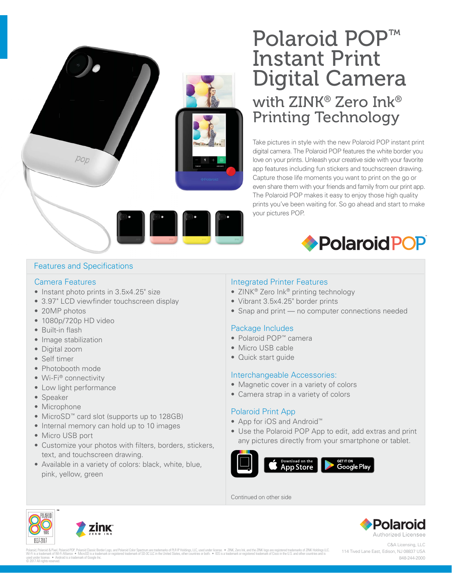# Polaroid POP™ Instant Print Digital Camera with ZINK® Zero Ink® Printing Technology

Take pictures in style with the new Polaroid POP instant print digital camera. The Polaroid POP features the white border you love on your prints. Unleash your creative side with your favorite app features including fun stickers and touchscreen drawing. Capture those life moments you want to print on the go or even share them with your friends and family from our print app. The Polaroid POP makes it easy to enjoy those high quality prints you've been waiting for. So go ahead and start to make your pictures POP.



# Features and Specifications

pop

#### Camera Features

- Instant photo prints in 3.5x4.25" size
- 3.97" LCD viewfinder touchscreen display
- 20MP photos
- 1080p/720p HD video
- Built-in flash
- Image stabilization
- Digital zoom
- Self timer
- Photobooth mode
- Wi-Fi® connectivity
- Low light performance
- Speaker
- Microphone
- MicroSD™ card slot (supports up to 128GB)
- Internal memory can hold up to 10 images
- Micro USB port
- Customize your photos with filters, borders, stickers, text, and touchscreen drawing.
- Available in a variety of colors: black, white, blue, pink, yellow, green

# Integrated Printer Features

- ZINK<sup>®</sup> Zero Ink<sup>®</sup> printing technology
- Vibrant 3.5x4.25" border prints
- Snap and print no computer connections needed

# Package Includes

- Polaroid POP™ camera
- Micro USB cable
- Quick start guide

# Interchangeable Accessories:

- Magnetic cover in a variety of colors
- Camera strap in a variety of colors

# Polaroid Print App

- App for iOS and Android™
- Use the Polaroid POP App to edit, add extras and print any pictures directly from your smartphone or tablet.



Continued on other side



Polanid, Polanoid & Processing Pro Polanoid Classic Border Dramatorial on the School of Dramatory of Phe Photings, LiC, used under licenses → 2NK, Zen Ink, and the ZNK logo are registered trademarks of 2NK logo are regist used under license. • Android is a trademark of Google Inc. © 2017 All rights reserved.

C&A Licensing, LLC 114 Tived Lane East, Edison, NJ 08837 USA 848-244-2000